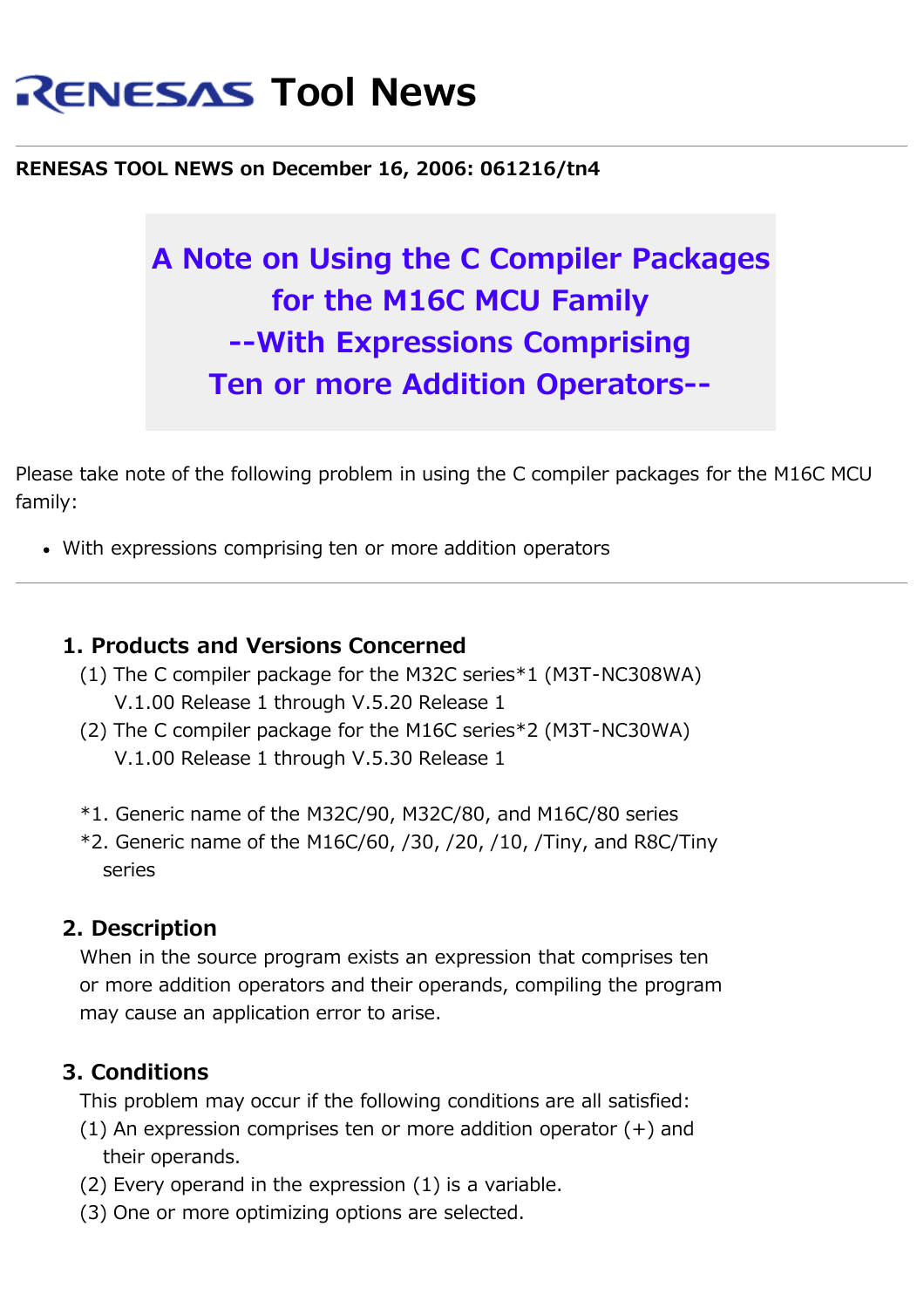# **RENESAS Tool News**

#### **RENESAS TOOL NEWS on December 16, 2006: 061216/tn4**

## **A Note on Using the C Compiler Packages for the M16C MCU Family --With Expressions Comprising Ten or more Addition Operators--**

Please take note of the following problem in using the C compiler packages for the M16C MCU family:

With expressions comprising ten or more addition operators

#### **1. Products and Versions Concerned**

- (1) The C compiler package for the M32C series\*1 (M3T-NC308WA) V.1.00 Release 1 through V.5.20 Release 1
- (2) The C compiler package for the M16C series\*2 (M3T-NC30WA) V.1.00 Release 1 through V.5.30 Release 1
- \*1. Generic name of the M32C/90, M32C/80, and M16C/80 series
- $*2$ . Generic name of the M16C/60, /30, /20, /10, /Tiny, and R8C/Tiny series

### **2. Description**

 When in the source program exists an expression that comprises ten or more addition operators and their operands, compiling the program may cause an application error to arise.

#### **3. Conditions**

This problem may occur if the following conditions are all satisfied:

- (1) An expression comprises ten or more addition operator (+) and their operands.
- (2) Every operand in the expression (1) is a variable.
- (3) One or more optimizing options are selected.